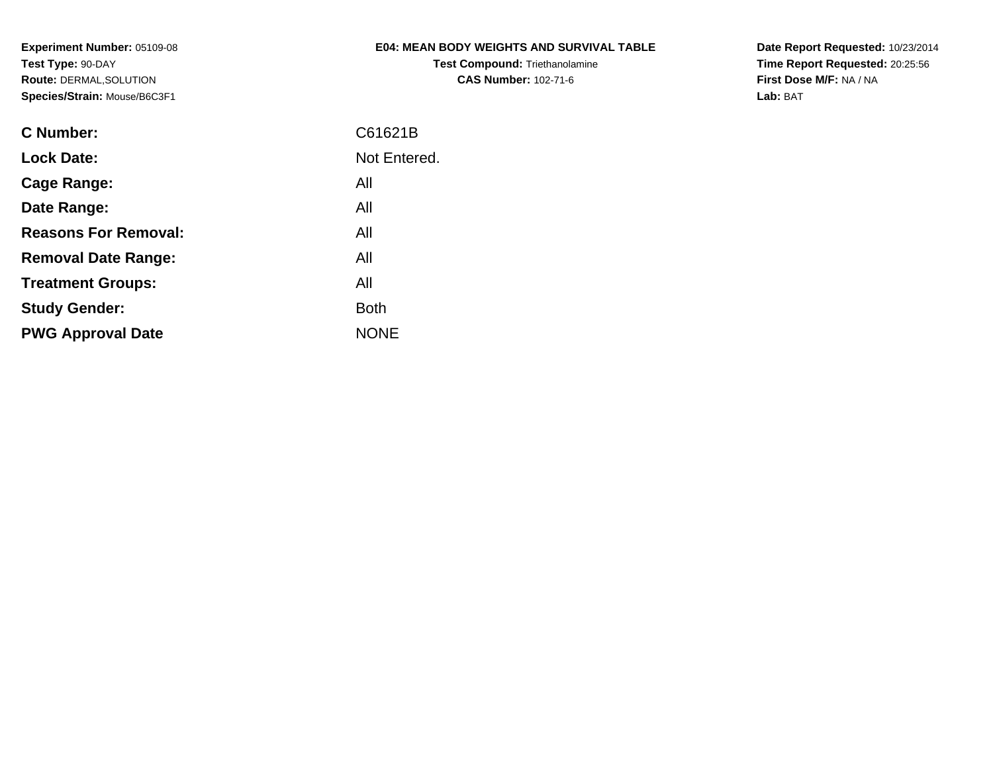# **E04: MEAN BODY WEIGHTS AND SURVIVAL TABLE**

**Test Compound:** Triethanolamine**CAS Number:** 102-71-6

**Date Report Requested:** 10/23/2014 **Time Report Requested:** 20:25:56**First Dose M/F:** NA / NA**Lab:** BAT

| <b>C</b> Number:            | C61621B      |
|-----------------------------|--------------|
| <b>Lock Date:</b>           | Not Entered. |
| Cage Range:                 | All          |
| Date Range:                 | All          |
| <b>Reasons For Removal:</b> | All          |
| <b>Removal Date Range:</b>  | All          |
| <b>Treatment Groups:</b>    | All          |
| <b>Study Gender:</b>        | <b>Both</b>  |
| <b>PWG Approval Date</b>    | <b>NONE</b>  |
|                             |              |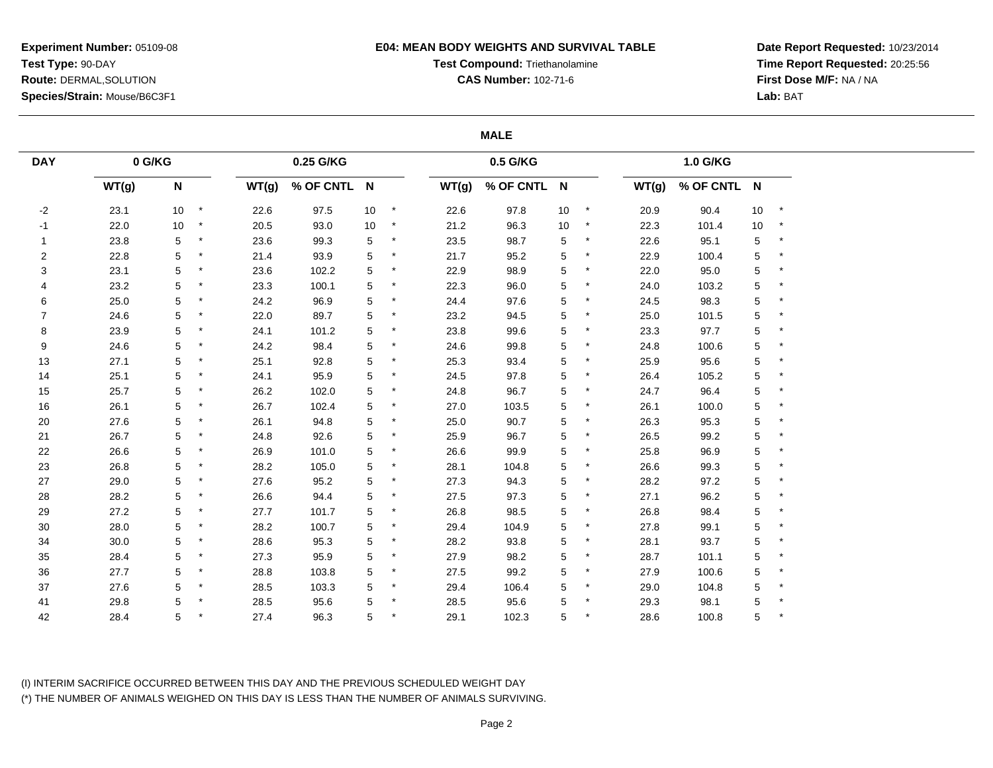## **E04: MEAN BODY WEIGHTS AND SURVIVAL TABLE**

**Test Compound:** Triethanolamine

**CAS Number:** 102-71-6

**Date Report Requested:** 10/23/2014**Time Report Requested:** 20:25:56**First Dose M/F:** NA / NA**Lab:** BAT

### **MALE**

| <b>DAY</b>     | 0 G/KG |                           |         |       | 0.25 G/KG   |    |          |       | 0.5 G/KG    |             |         |       | 1.0 G/KG    |      |              |
|----------------|--------|---------------------------|---------|-------|-------------|----|----------|-------|-------------|-------------|---------|-------|-------------|------|--------------|
|                | WT(g)  | $\boldsymbol{\mathsf{N}}$ |         | WT(g) | % OF CNTL N |    |          | WT(g) | % OF CNTL N |             |         | WT(g) | % OF CNTL N |      |              |
| $-2$           | 23.1   | 10 <sup>°</sup>           | $\star$ | 22.6  | 97.5        | 10 | $\star$  | 22.6  | 97.8        | 10          |         | 20.9  | 90.4        | $10$ | $\pmb{\ast}$ |
| $-1$           | 22.0   | 10                        | $\star$ | 20.5  | 93.0        | 10 | $^\star$ | 21.2  | 96.3        | $10\,$      | $\star$ | 22.3  | 101.4       | $10$ | $\star$      |
| $\mathbf{1}$   | 23.8   | 5                         | $\star$ | 23.6  | 99.3        | 5  |          | 23.5  | 98.7        | 5           |         | 22.6  | 95.1        | 5    | $\star$      |
| $\overline{2}$ | 22.8   | 5                         | *       | 21.4  | 93.9        | 5  |          | 21.7  | 95.2        | 5           |         | 22.9  | 100.4       | 5    | $\star$      |
| 3              | 23.1   | 5                         | $\star$ | 23.6  | 102.2       | 5  |          | 22.9  | 98.9        | 5           |         | 22.0  | 95.0        | 5    | $^\star$     |
| 4              | 23.2   | 5                         |         | 23.3  | 100.1       | 5  |          | 22.3  | 96.0        | 5           |         | 24.0  | 103.2       | 5    | $\star$      |
| 6              | 25.0   | 5                         | $\star$ | 24.2  | 96.9        | 5  |          | 24.4  | 97.6        | $\,$ 5 $\,$ |         | 24.5  | 98.3        | 5    |              |
| $\overline{7}$ | 24.6   | 5                         | $\star$ | 22.0  | 89.7        | 5  | $\star$  | 23.2  | 94.5        | 5           |         | 25.0  | 101.5       | 5    | $^\star$     |
| 8              | 23.9   | 5                         | $\ast$  | 24.1  | 101.2       | 5  |          | 23.8  | 99.6        | 5           |         | 23.3  | 97.7        | 5    | $\star$      |
| 9              | 24.6   | 5                         | $\star$ | 24.2  | 98.4        | 5  |          | 24.6  | 99.8        | 5           |         | 24.8  | 100.6       | 5    | $\star$      |
| 13             | 27.1   | 5                         | $\ast$  | 25.1  | 92.8        | 5  |          | 25.3  | 93.4        | 5           |         | 25.9  | 95.6        | 5    |              |
| 14             | 25.1   | 5                         | $\star$ | 24.1  | 95.9        | 5  | $\ast$   | 24.5  | 97.8        | $\mathbf 5$ |         | 26.4  | 105.2       | 5    |              |
| 15             | 25.7   | 5                         | $\star$ | 26.2  | 102.0       | 5  | $\ast$   | 24.8  | 96.7        | 5           |         | 24.7  | 96.4        | 5    | $\star$      |
| 16             | 26.1   | 5                         | $\star$ | 26.7  | 102.4       | 5  |          | 27.0  | 103.5       | 5           |         | 26.1  | 100.0       | 5    | $^\star$     |
| 20             | 27.6   | 5                         | $\star$ | 26.1  | 94.8        | 5  |          | 25.0  | 90.7        | $\mathbf 5$ |         | 26.3  | 95.3        | 5    | $\star$      |
| 21             | 26.7   | 5                         | $\star$ | 24.8  | 92.6        | 5  |          | 25.9  | 96.7        | 5           |         | 26.5  | 99.2        | 5    | $\star$      |
| 22             | 26.6   | 5                         |         | 26.9  | 101.0       | 5  |          | 26.6  | 99.9        | 5           |         | 25.8  | 96.9        | 5    |              |
| 23             | 26.8   | 5                         | $\star$ | 28.2  | 105.0       | 5  |          | 28.1  | 104.8       | 5           |         | 26.6  | 99.3        | 5    | $\ast$       |
| 27             | 29.0   | 5                         | $\star$ | 27.6  | 95.2        | 5  |          | 27.3  | 94.3        | 5           |         | 28.2  | 97.2        | 5    | $\star$      |
| 28             | 28.2   | 5                         | $\star$ | 26.6  | 94.4        | 5  |          | 27.5  | 97.3        | $\mathbf 5$ |         | 27.1  | 96.2        | 5    | $\star$      |
| 29             | 27.2   | 5                         | $\star$ | 27.7  | 101.7       | 5  |          | 26.8  | 98.5        | 5           |         | 26.8  | 98.4        | 5    | $\star$      |
| 30             | 28.0   | 5                         | $\star$ | 28.2  | 100.7       | 5  | $\ast$   | 29.4  | 104.9       | 5           |         | 27.8  | 99.1        | 5    |              |
| 34             | 30.0   | 5                         | $\star$ | 28.6  | 95.3        | 5  |          | 28.2  | 93.8        | 5           |         | 28.1  | 93.7        | 5    | $\star$      |
| 35             | 28.4   | 5                         | *       | 27.3  | 95.9        | 5  | $\ast$   | 27.9  | 98.2        | 5           |         | 28.7  | 101.1       | 5    | $\star$      |
| 36             | 27.7   | 5                         | $\star$ | 28.8  | 103.8       | 5  |          | 27.5  | 99.2        | $\mathbf 5$ |         | 27.9  | 100.6       | 5    | $^\star$     |
| 37             | 27.6   | 5                         |         | 28.5  | 103.3       | 5  |          | 29.4  | 106.4       | $\mathbf 5$ |         | 29.0  | 104.8       | 5    |              |
| 41             | 29.8   | 5                         | $\ast$  | 28.5  | 95.6        | 5  |          | 28.5  | 95.6        | 5           |         | 29.3  | 98.1        | 5    |              |
| 42             | 28.4   | 5                         |         | 27.4  | 96.3        | 5  |          | 29.1  | 102.3       | 5           |         | 28.6  | 100.8       | 5    |              |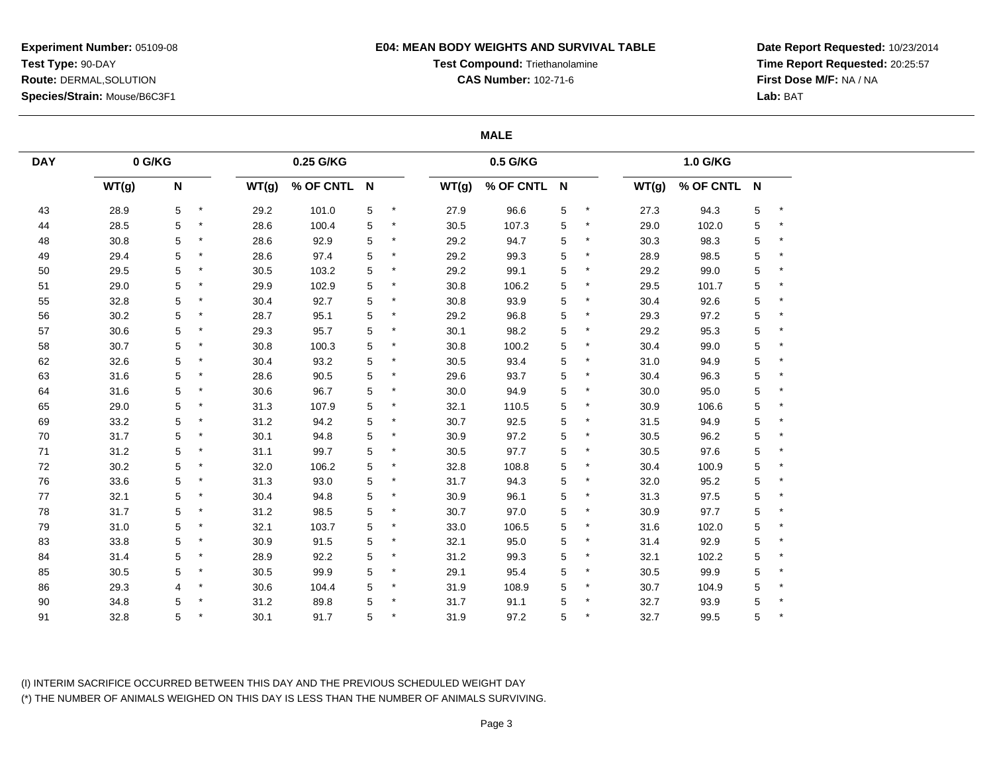## **E04: MEAN BODY WEIGHTS AND SURVIVAL TABLE**

**Test Compound:** Triethanolamine

**CAS Number:** 102-71-6

**Date Report Requested:** 10/23/2014**Time Report Requested:** 20:25:57**First Dose M/F:** NA / NA**Lab:** BAT

## **MALE**

| <b>DAY</b> | $0$ G/KG |             |         |       | 0.25 G/KG   |   |         |       | 0.5 G/KG    |   |         |       | 1.0 G/KG    |   |           |
|------------|----------|-------------|---------|-------|-------------|---|---------|-------|-------------|---|---------|-------|-------------|---|-----------|
|            | WT(g)    | $\mathsf N$ |         | WT(g) | % OF CNTL N |   |         | WT(g) | % OF CNTL N |   |         | WT(g) | % OF CNTL N |   |           |
| 43         | 28.9     | 5           | $\star$ | 29.2  | 101.0       | 5 | $\star$ | 27.9  | 96.6        | 5 |         | 27.3  | 94.3        | 5 | $\star$   |
| 44         | 28.5     | 5           | $\star$ | 28.6  | 100.4       | 5 | $\star$ | 30.5  | 107.3       | 5 | $\star$ | 29.0  | 102.0       | 5 | $\ast$    |
| 48         | 30.8     | 5           | $\ast$  | 28.6  | 92.9        | 5 |         | 29.2  | 94.7        | 5 |         | 30.3  | 98.3        | 5 | $\ast$    |
| 49         | 29.4     | 5           | $\ast$  | 28.6  | 97.4        | 5 |         | 29.2  | 99.3        | 5 |         | 28.9  | 98.5        | 5 | ×         |
| 50         | 29.5     | 5           | $\star$ | 30.5  | 103.2       | 5 | $\ast$  | 29.2  | 99.1        | 5 | $\star$ | 29.2  | 99.0        | 5 | $\star$   |
| 51         | 29.0     | 5           | $\star$ | 29.9  | 102.9       | 5 |         | 30.8  | 106.2       | 5 |         | 29.5  | 101.7       | 5 | $\ast$    |
| 55         | 32.8     | 5           | $\star$ | 30.4  | 92.7        | 5 | $\star$ | 30.8  | 93.9        | 5 | $\star$ | 30.4  | 92.6        | 5 | $\ast$    |
| 56         | 30.2     | 5           | $\star$ | 28.7  | 95.1        | 5 | $\star$ | 29.2  | 96.8        | 5 |         | 29.3  | 97.2        | 5 | $\ast$    |
| 57         | 30.6     | 5           | $\star$ | 29.3  | 95.7        | 5 |         | 30.1  | 98.2        | 5 |         | 29.2  | 95.3        | 5 | $\ast$    |
| 58         | 30.7     | 5           | $\star$ | 30.8  | 100.3       | 5 |         | 30.8  | 100.2       | 5 | $\ast$  | 30.4  | 99.0        | 5 | $\star$   |
| 62         | 32.6     | 5           | $\star$ | 30.4  | 93.2        | 5 |         | 30.5  | 93.4        | 5 |         | 31.0  | 94.9        | 5 | $\ast$    |
| 63         | 31.6     | 5           | $\star$ | 28.6  | 90.5        | 5 | $\star$ | 29.6  | 93.7        | 5 |         | 30.4  | 96.3        | 5 | $\star$   |
| 64         | 31.6     | 5           | $\star$ | 30.6  | 96.7        | 5 | $\star$ | 30.0  | 94.9        | 5 | $\star$ | 30.0  | 95.0        | 5 | $\ast$    |
| 65         | 29.0     | 5           | $\star$ | 31.3  | 107.9       | 5 |         | 32.1  | 110.5       | 5 | $\star$ | 30.9  | 106.6       | 5 | $\star$   |
| 69         | 33.2     | 5           | $\ast$  | 31.2  | 94.2        | 5 | $\ast$  | 30.7  | 92.5        | 5 |         | 31.5  | 94.9        | 5 | $\ast$    |
| 70         | 31.7     | 5           | $\star$ | 30.1  | 94.8        | 5 | $\ast$  | 30.9  | 97.2        | 5 | $\ast$  | 30.5  | 96.2        | 5 | $\ast$    |
| 71         | 31.2     | 5           |         | 31.1  | 99.7        | 5 |         | 30.5  | 97.7        | 5 |         | 30.5  | 97.6        | 5 | $\star$   |
| 72         | 30.2     | 5           | $\star$ | 32.0  | 106.2       | 5 |         | 32.8  | 108.8       | 5 |         | 30.4  | 100.9       | 5 | $\ast$    |
| 76         | 33.6     | 5           | $\star$ | 31.3  | 93.0        | 5 | $\star$ | 31.7  | 94.3        | 5 |         | 32.0  | 95.2        | 5 | $\ast$    |
| 77         | 32.1     | 5           | $\ast$  | 30.4  | 94.8        | 5 |         | 30.9  | 96.1        | 5 |         | 31.3  | 97.5        | 5 | $\ast$    |
| ${\bf 78}$ | 31.7     | 5           | $\star$ | 31.2  | 98.5        | 5 | $^\ast$ | 30.7  | 97.0        | 5 | $\ast$  | 30.9  | 97.7        | 5 | $\star$   |
| 79         | 31.0     | 5           | $\star$ | 32.1  | 103.7       | 5 |         | 33.0  | 106.5       | 5 |         | 31.6  | 102.0       | 5 | $\ast$    |
| 83         | 33.8     | 5           | $\star$ | 30.9  | 91.5        | 5 | $\star$ | 32.1  | 95.0        | 5 |         | 31.4  | 92.9        | 5 | $\star$   |
| 84         | 31.4     | 5           | $\star$ | 28.9  | 92.2        | 5 | $\star$ | 31.2  | 99.3        | 5 | $\ast$  | 32.1  | 102.2       | 5 | $^{\ast}$ |
| 85         | 30.5     | 5           | $\star$ | 30.5  | 99.9        | 5 |         | 29.1  | 95.4        | 5 | $\star$ | 30.5  | 99.9        | 5 | $\ast$    |
| 86         | 29.3     | 4           | $\ast$  | 30.6  | 104.4       | 5 |         | 31.9  | 108.9       | 5 |         | 30.7  | 104.9       | 5 | $\ast$    |
| $90\,$     | 34.8     | 5           | $\star$ | 31.2  | 89.8        | 5 |         | 31.7  | 91.1        | 5 | $\star$ | 32.7  | 93.9        | 5 |           |
| 91         | 32.8     | 5           |         | 30.1  | 91.7        | 5 |         | 31.9  | 97.2        | 5 |         | 32.7  | 99.5        | 5 |           |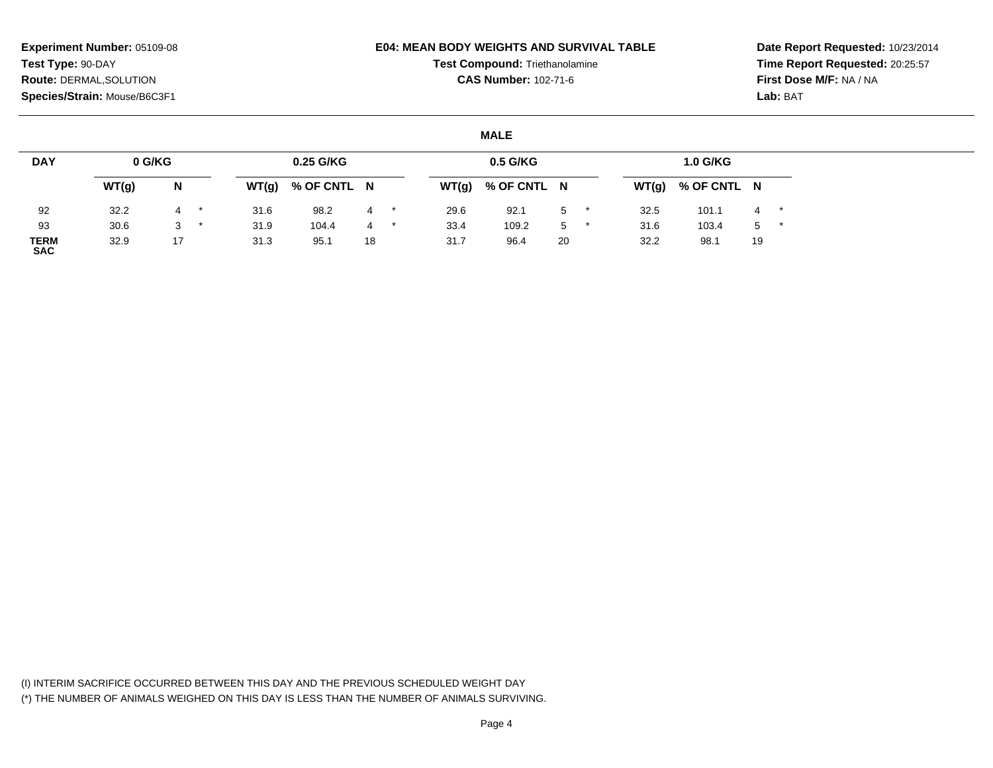## **E04: MEAN BODY WEIGHTS AND SURVIVAL TABLE**

**Test Compound:** Triethanolamine

**CAS Number:** 102-71-6

**Date Report Requested:** 10/23/2014**Time Report Requested:** 20:25:57**First Dose M/F:** NA / NA**Lab:** BAT

## **MALE**

| <b>DAY</b>         | 0 G/KG |    |         |       | 0.25 G/KG   |    |         |       | 0.5 G/KG    |    |       | <b>1.0 G/KG</b> |       |       |
|--------------------|--------|----|---------|-------|-------------|----|---------|-------|-------------|----|-------|-----------------|-------|-------|
|                    | WT(g)  | N  |         | WT(g) | % OF CNTL N |    |         | WT(g) | % OF CNTL N |    | WT(g) | % OF CNTL N     |       |       |
| 92                 | 32.2   |    | $\star$ | 31.6  | 98.2        | 4  | $\star$ | 29.6  | 92.1        | 5  | 32.5  | 101.1           |       | $4$ * |
| 93                 | 30.6   | 3  | $\star$ | 31.9  | 104.4       | 4  |         | 33.4  | 109.2       | 5  | 31.6  | 103.4           | $5$ * |       |
| TERM<br><b>SAC</b> | 32.9   | 17 |         | 31.3  | 95.1        | 18 |         | 31.7  | 96.4        | 20 | 32.2  | 98.1            | 19    |       |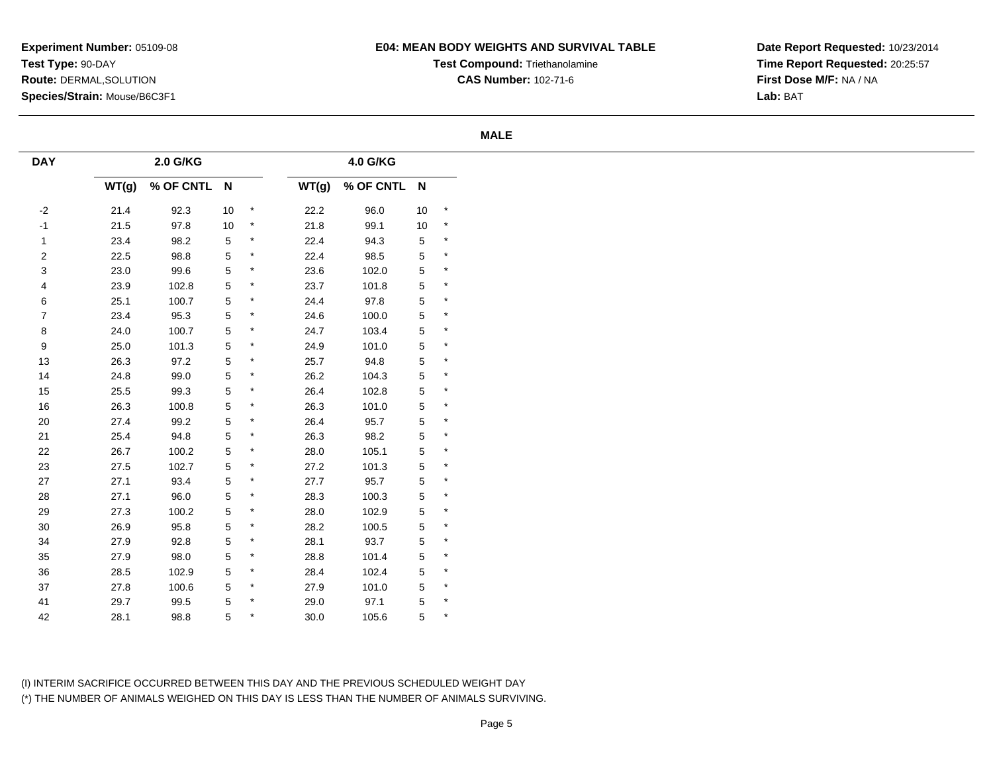# **E04: MEAN BODY WEIGHTS AND SURVIVAL TABLE**

**Test Compound:** Triethanolamine**CAS Number:** 102-71-6

**Date Report Requested:** 10/23/2014**Time Report Requested:** 20:25:57**First Dose M/F:** NA / NA**Lab:** BAT

### **MALE**

| <b>DAY</b>       |       | 2.0 G/KG    |             |                   |       | 4.0 G/KG    |             |                   |
|------------------|-------|-------------|-------------|-------------------|-------|-------------|-------------|-------------------|
|                  | WT(g) | % OF CNTL N |             |                   | WT(g) | % OF CNTL N |             |                   |
| $-2$             | 21.4  | 92.3        | 10          | $\qquad \, \star$ | 22.2  | 96.0        | 10          | $\qquad \, \star$ |
| $-1$             | 21.5  | 97.8        | 10          | $\star$           | 21.8  | 99.1        | $10\,$      | $^{\star}$        |
| $\mathbf{1}$     | 23.4  | 98.2        | 5           | $\star$           | 22.4  | 94.3        | $\,$ 5 $\,$ | $\star$           |
| $\boldsymbol{2}$ | 22.5  | 98.8        | 5           | $\star$           | 22.4  | 98.5        | $\sqrt{5}$  | $\star$           |
| 3                | 23.0  | 99.6        | 5           | $\star$           | 23.6  | 102.0       | $\,$ 5 $\,$ | $\star$           |
| 4                | 23.9  | 102.8       | 5           | $\star$           | 23.7  | 101.8       | $\,$ 5 $\,$ | $\star$           |
| 6                | 25.1  | 100.7       | 5           | $^\star$          | 24.4  | 97.8        | $\,$ 5 $\,$ | $\star$           |
| $\boldsymbol{7}$ | 23.4  | 95.3        | 5           | $\star$           | 24.6  | 100.0       | $\sqrt{5}$  | $\star$           |
| 8                | 24.0  | 100.7       | $\,$ 5 $\,$ | $\star$           | 24.7  | 103.4       | $\,$ 5 $\,$ | $\star$           |
| $\boldsymbol{9}$ | 25.0  | 101.3       | 5           | $\star$           | 24.9  | 101.0       | $\,$ 5 $\,$ | $\star$           |
| 13               | 26.3  | 97.2        | 5           | $\star$           | 25.7  | 94.8        | $\,$ 5 $\,$ | $\star$           |
| 14               | 24.8  | 99.0        | 5           | $^\star$          | 26.2  | 104.3       | $\sqrt{5}$  | $\star$           |
| 15               | 25.5  | 99.3        | $\,$ 5 $\,$ | $\star$           | 26.4  | 102.8       | $\sqrt{5}$  | $\star$           |
| 16               | 26.3  | 100.8       | 5           | $\star$           | 26.3  | 101.0       | $\,$ 5 $\,$ | $\star$           |
| $20\,$           | 27.4  | 99.2        | $\,$ 5 $\,$ | $^\star$          | 26.4  | 95.7        | $\sqrt{5}$  | $\star$           |
| 21               | 25.4  | 94.8        | $\,$ 5 $\,$ | $\star$           | 26.3  | 98.2        | $\sqrt{5}$  | $\star$           |
| 22               | 26.7  | 100.2       | 5           | $\star$           | 28.0  | 105.1       | $\,$ 5 $\,$ | $\star$           |
| 23               | 27.5  | 102.7       | 5           | $\star$           | 27.2  | 101.3       | $\sqrt{5}$  | $\star$           |
| 27               | 27.1  | 93.4        | $\,$ 5 $\,$ | $\star$           | 27.7  | 95.7        | $\,$ 5 $\,$ | $\star$           |
| 28               | 27.1  | 96.0        | 5           | $\star$           | 28.3  | 100.3       | $\,$ 5 $\,$ | $\star$           |
| 29               | 27.3  | 100.2       | 5           | $\star$           | 28.0  | 102.9       | $\sqrt{5}$  | $\star$           |
| $30\,$           | 26.9  | 95.8        | 5           | $\star$           | 28.2  | 100.5       | $\,$ 5 $\,$ | $\star$           |
| 34               | 27.9  | 92.8        | 5           | $\star$           | 28.1  | 93.7        | $\sqrt{5}$  | $\star$           |
| $35\,$           | 27.9  | 98.0        | 5           | $\star$           | 28.8  | 101.4       | $\,$ 5 $\,$ | $\star$           |
| $36\,$           | 28.5  | 102.9       | 5           | $^\star$          | 28.4  | 102.4       | $\sqrt{5}$  | $\star$           |
| $37\,$           | 27.8  | 100.6       | 5           | $\star$           | 27.9  | 101.0       | $\sqrt{5}$  | $\star$           |
| 41               | 29.7  | 99.5        | 5           | $^\star$          | 29.0  | 97.1        | $\,$ 5 $\,$ | $\star$           |
| 42               | 28.1  | 98.8        | 5           | $\star$           | 30.0  | 105.6       | 5           | $\star$           |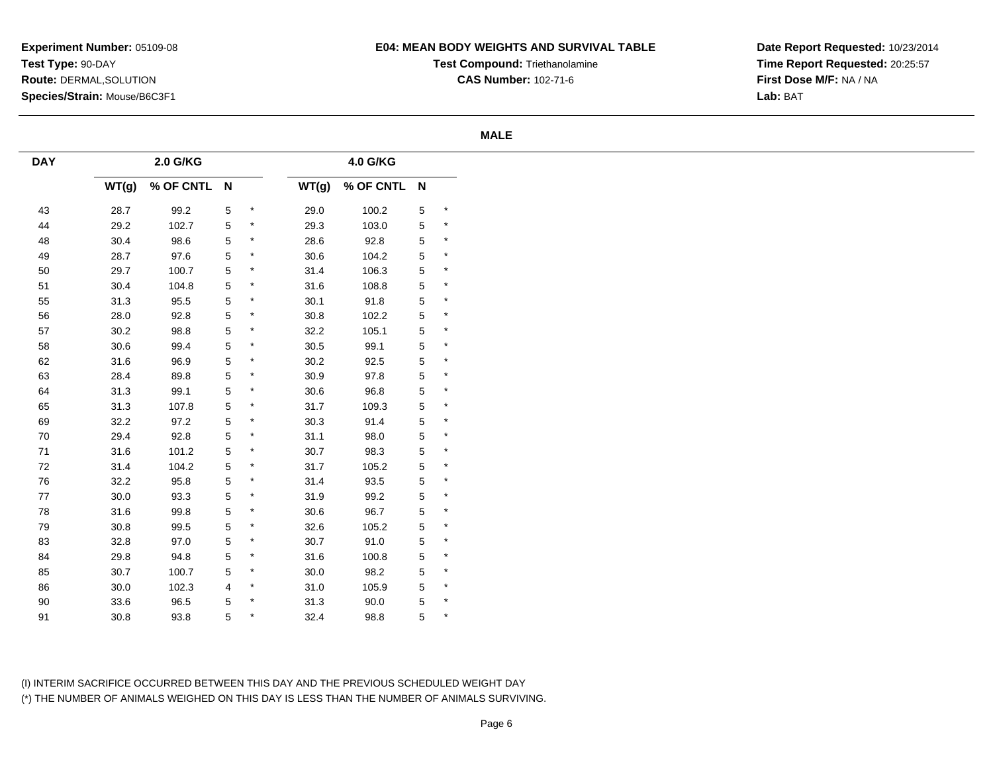# **E04: MEAN BODY WEIGHTS AND SURVIVAL TABLE**

**Test Compound:** Triethanolamine**CAS Number:** 102-71-6

**Date Report Requested:** 10/23/2014**Time Report Requested:** 20:25:57**First Dose M/F:** NA / NA**Lab:** BAT

### **MALE**

| <b>DAY</b> |          | 2.0 G/KG    |             |           |          | 4.0 G/KG    |             |         |
|------------|----------|-------------|-------------|-----------|----------|-------------|-------------|---------|
|            | WT(g)    | % OF CNTL N |             |           | WT(g)    | % OF CNTL N |             |         |
| 43         | 28.7     | 99.2        | 5           | $\star$   | 29.0     | 100.2       | $\,$ 5 $\,$ | $\star$ |
| 44         | 29.2     | 102.7       | $\sqrt{5}$  | $\star$   | 29.3     | 103.0       | $\,$ 5 $\,$ | $\star$ |
| 48         | 30.4     | 98.6        | 5           | $\star$   | 28.6     | 92.8        | $\,$ 5 $\,$ | $\star$ |
| 49         | 28.7     | 97.6        | 5           | $\star$   | 30.6     | 104.2       | $\mathbf 5$ | $\star$ |
| 50         | 29.7     | 100.7       | 5           | $\star$   | 31.4     | 106.3       | $\,$ 5 $\,$ | $\star$ |
| 51         | 30.4     | 104.8       | 5           | $\star$   | 31.6     | 108.8       | $\mathbf 5$ | $\star$ |
| 55         | 31.3     | 95.5        | 5           | $\star$   | 30.1     | 91.8        | $\,$ 5 $\,$ | $\star$ |
| 56         | 28.0     | 92.8        | $\,$ 5 $\,$ | $\star$   | $30.8\,$ | 102.2       | $\mathbf 5$ | $\star$ |
| 57         | $30.2\,$ | 98.8        | $\,$ 5 $\,$ | $\star$   | 32.2     | 105.1       | $\,$ 5 $\,$ | $\star$ |
| 58         | $30.6\,$ | 99.4        | 5           | $\star$   | $30.5$   | 99.1        | $\,$ 5 $\,$ | $\star$ |
| 62         | 31.6     | 96.9        | 5           | $\star$   | 30.2     | 92.5        | $\,$ 5 $\,$ | $\star$ |
| 63         | 28.4     | 89.8        | 5           | $^\star$  | 30.9     | 97.8        | $\mathbf 5$ | $\star$ |
| 64         | 31.3     | 99.1        | 5           | $\star$   | 30.6     | 96.8        | $\,$ 5 $\,$ | $\star$ |
| 65         | 31.3     | 107.8       | 5           | $\ast$    | 31.7     | 109.3       | $\,$ 5 $\,$ | $\star$ |
| 69         | 32.2     | 97.2        | $\,$ 5 $\,$ | $\star$   | 30.3     | 91.4        | $\mathbf 5$ | $\star$ |
| 70         | 29.4     | 92.8        | 5           | $\star$   | 31.1     | 98.0        | $\,$ 5 $\,$ | $\star$ |
| $71\,$     | $31.6\,$ | 101.2       | 5           | $\star$   | 30.7     | 98.3        | $\,$ 5 $\,$ | $\star$ |
| 72         | 31.4     | 104.2       | 5           | $\star$   | 31.7     | 105.2       | $\mathbf 5$ | $\star$ |
| ${\bf 76}$ | 32.2     | 95.8        | $\,$ 5 $\,$ | $\star$   | 31.4     | 93.5        | $\,$ 5 $\,$ | $\star$ |
| $77\,$     | $30.0\,$ | 93.3        | 5           | $\star$   | 31.9     | 99.2        | $\,$ 5 $\,$ | $\star$ |
| 78         | $31.6\,$ | 99.8        | 5           | $\star$   | 30.6     | 96.7        | $\mathbf 5$ | $\star$ |
| 79         | 30.8     | 99.5        | 5           | $\star$   | 32.6     | 105.2       | $\,$ 5 $\,$ | $\star$ |
| 83         | 32.8     | 97.0        | 5           | $^{\ast}$ | 30.7     | 91.0        | $\,$ 5 $\,$ | $\star$ |
| 84         | 29.8     | 94.8        | 5           | $\star$   | 31.6     | 100.8       | $\,$ 5 $\,$ | $\star$ |
| 85         | 30.7     | 100.7       | 5           | $\star$   | 30.0     | 98.2        | $\,$ 5 $\,$ | $\star$ |
| 86         | 30.0     | 102.3       | 4           | $^{\ast}$ | 31.0     | 105.9       | $\mathbf 5$ | $\star$ |
| 90         | 33.6     | 96.5        | 5           | $\star$   | 31.3     | 90.0        | $\,$ 5 $\,$ | $\star$ |
| 91         | $30.8\,$ | 93.8        | 5           | $^{\ast}$ | 32.4     | 98.8        | 5           | $\star$ |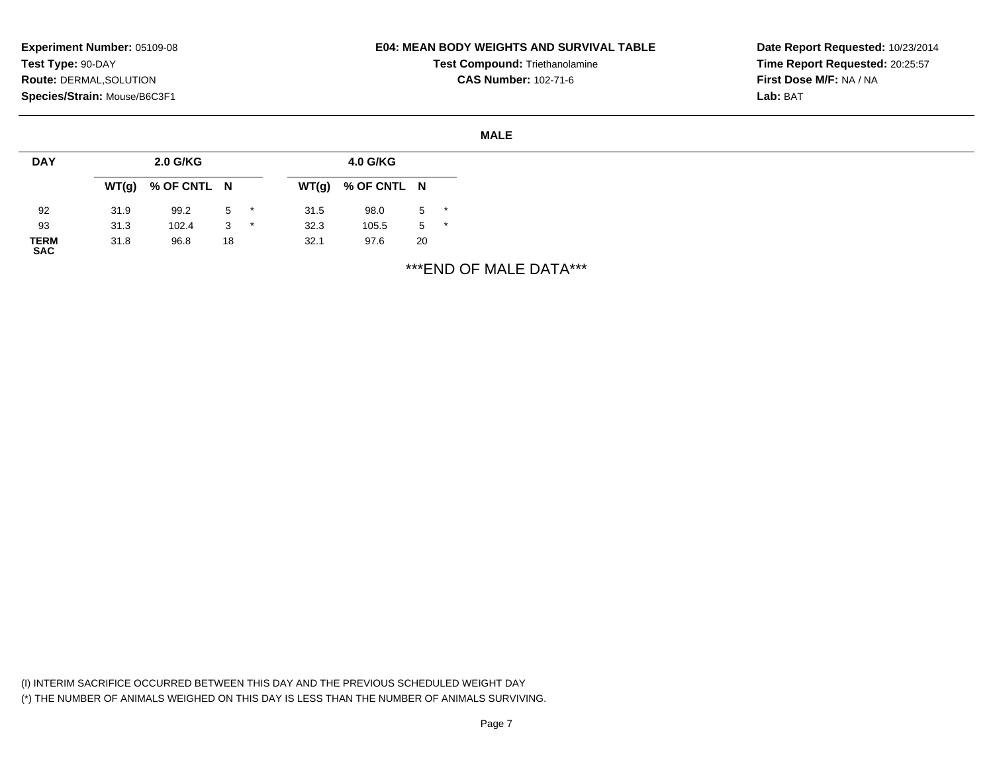## **E04: MEAN BODY WEIGHTS AND SURVIVAL TABLE**

**Test Compound:** Triethanolamine**CAS Number:** 102-71-6

**Date Report Requested:** 10/23/2014**Time Report Requested:** 20:25:57**First Dose M/F:** NA / NA**Lab:** BAT

### **MALE**

| <b>DAY</b>          |      | 2.0 G/KG            |    |         |      | 4.0 G/KG            |       |  |
|---------------------|------|---------------------|----|---------|------|---------------------|-------|--|
|                     |      | $WT(g)$ % OF CNTL N |    |         |      | $WT(g)$ % OF CNTL N |       |  |
| 92                  | 31.9 | 99.2                | 5  | $\star$ | 31.5 | 98.0                | $5$ * |  |
| 93                  | 31.3 | 102.4               | 3  | $\star$ | 32.3 | 105.5               | $5$ * |  |
| <b>TERM<br/>SAC</b> | 31.8 | 96.8                | 18 |         | 32.1 | 97.6                | 20    |  |

\*\*\*END OF MALE DATA\*\*\*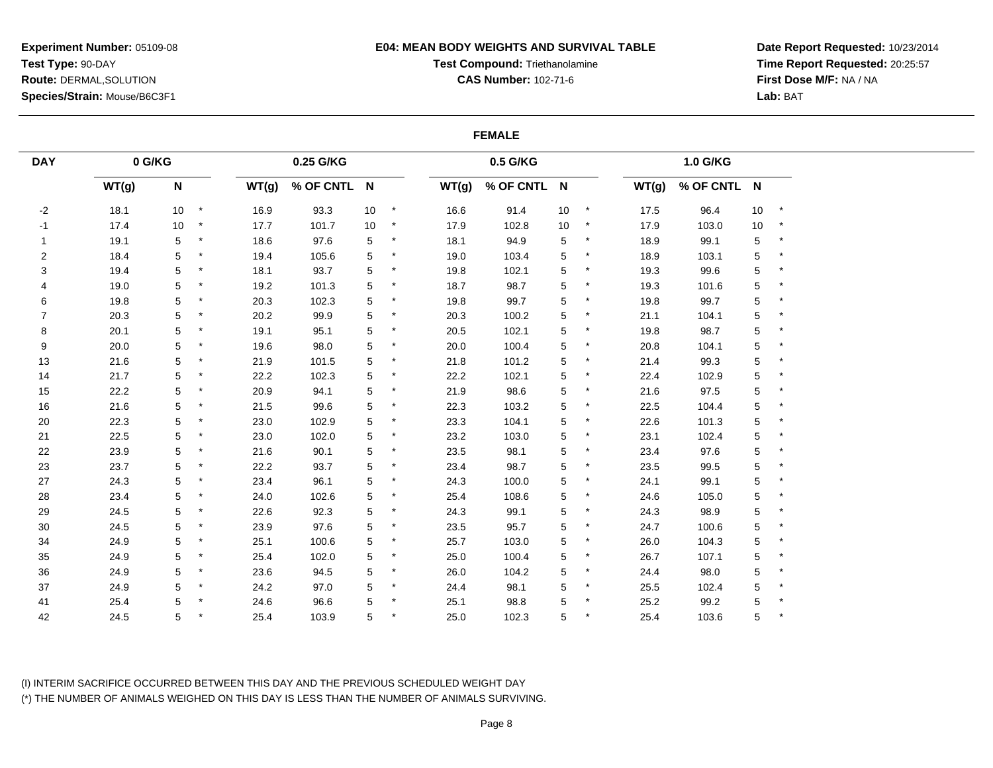## **E04: MEAN BODY WEIGHTS AND SURVIVAL TABLE**

# **Test Compound:** Triethanolamine

**CAS Number:** 102-71-6

**Date Report Requested:** 10/23/2014**Time Report Requested:** 20:25:57**First Dose M/F:** NA / NA**Lab:** BAT

## **FEMALE**

| <b>DAY</b>     | 0 G/KG |                 |            |       | 0.25 G/KG   |      |          |       | 0.5 G/KG    |    |         |       | 1.0 G/KG    |             |         |
|----------------|--------|-----------------|------------|-------|-------------|------|----------|-------|-------------|----|---------|-------|-------------|-------------|---------|
|                | WT(g)  | N               |            | WT(g) | % OF CNTL N |      |          | WT(g) | % OF CNTL N |    |         | WT(g) | % OF CNTL N |             |         |
| $-2$           | 18.1   | 10 <sup>°</sup> | $\star$    | 16.9  | 93.3        | $10$ | $^\star$ | 16.6  | 91.4        | 10 | $\star$ | 17.5  | 96.4        | $10$        | $\star$ |
| $-1$           | 17.4   | 10              | $\star$    | 17.7  | 101.7       | 10   | $\star$  | 17.9  | 102.8       | 10 | $\star$ | 17.9  | 103.0       | 10          | $\star$ |
| $\mathbf{1}$   | 19.1   | 5               | $\star$    | 18.6  | 97.6        | 5    |          | 18.1  | 94.9        | 5  | $\ast$  | 18.9  | 99.1        | $\sqrt{5}$  | $\star$ |
| 2              | 18.4   | 5               | $\star$    | 19.4  | 105.6       | 5    |          | 19.0  | 103.4       | 5  |         | 18.9  | 103.1       | $\sqrt{5}$  | $\star$ |
| 3              | 19.4   | 5               | $\star$    | 18.1  | 93.7        | 5    |          | 19.8  | 102.1       | 5  |         | 19.3  | 99.6        | 5           |         |
| 4              | 19.0   | 5               | $\star$    | 19.2  | 101.3       | 5    |          | 18.7  | 98.7        | 5  |         | 19.3  | 101.6       | $\sqrt{5}$  |         |
| 6              | 19.8   | 5               | $\star$    | 20.3  | 102.3       | 5    | $\star$  | 19.8  | 99.7        | 5  | $\ast$  | 19.8  | 99.7        | 5           |         |
| $\overline{7}$ | 20.3   | 5               | $\star$    | 20.2  | 99.9        | 5    | $\star$  | 20.3  | 100.2       | 5  | $\star$ | 21.1  | 104.1       | $\,$ 5 $\,$ |         |
| 8              | 20.1   | 5               | $\star$    | 19.1  | 95.1        | 5    |          | 20.5  | 102.1       | 5  |         | 19.8  | 98.7        | $\sqrt{5}$  | $\star$ |
| 9              | 20.0   | 5               | $\star$    | 19.6  | 98.0        | 5    | $\star$  | 20.0  | 100.4       | 5  |         | 20.8  | 104.1       | $\sqrt{5}$  |         |
| 13             | 21.6   | 5               | $\star$    | 21.9  | 101.5       | 5    |          | 21.8  | 101.2       | 5  |         | 21.4  | 99.3        | 5           |         |
| 14             | 21.7   | 5               | $\star$    | 22.2  | 102.3       | 5    | $\star$  | 22.2  | 102.1       | 5  |         | 22.4  | 102.9       | $\mathbf 5$ |         |
| 15             | 22.2   | 5               | $^{\star}$ | 20.9  | 94.1        | 5    | $\star$  | 21.9  | 98.6        | 5  | $\star$ | 21.6  | 97.5        | $\sqrt{5}$  | $\star$ |
| $16\,$         | 21.6   | 5               | $\star$    | 21.5  | 99.6        | 5    |          | 22.3  | 103.2       | 5  | $\ast$  | 22.5  | 104.4       | $\sqrt{5}$  |         |
| 20             | 22.3   | 5               | $^{\star}$ | 23.0  | 102.9       | 5    | $\ast$   | 23.3  | 104.1       | 5  |         | 22.6  | 101.3       | 5           |         |
| 21             | 22.5   | 5               | $\star$    | 23.0  | 102.0       | 5    |          | 23.2  | 103.0       | 5  |         | 23.1  | 102.4       | 5           |         |
| 22             | 23.9   | 5               | $\star$    | 21.6  | 90.1        | 5    |          | 23.5  | 98.1        | 5  |         | 23.4  | 97.6        | $\sqrt{5}$  |         |
| 23             | 23.7   | 5               | $\star$    | 22.2  | 93.7        | 5    | $\ast$   | 23.4  | 98.7        | 5  |         | 23.5  | 99.5        | $\sqrt{5}$  |         |
| 27             | 24.3   | 5               | $\star$    | 23.4  | 96.1        | 5    | $\star$  | 24.3  | 100.0       | 5  | $\ast$  | 24.1  | 99.1        | $\,$ 5 $\,$ |         |
| 28             | 23.4   | 5               | $\star$    | 24.0  | 102.6       | 5    |          | 25.4  | 108.6       | 5  |         | 24.6  | 105.0       | $\sqrt{5}$  | $\star$ |
| 29             | 24.5   | 5               | $\star$    | 22.6  | 92.3        | 5    | $\ast$   | 24.3  | 99.1        | 5  |         | 24.3  | 98.9        | 5           |         |
| $30\,$         | 24.5   | 5               | $\star$    | 23.9  | 97.6        | 5    | $\star$  | 23.5  | 95.7        | 5  | $\ast$  | 24.7  | 100.6       | $\mathbf 5$ | $\star$ |
| 34             | 24.9   | 5               | $\star$    | 25.1  | 100.6       | 5    |          | 25.7  | 103.0       | 5  |         | 26.0  | 104.3       | 5           |         |
| 35             | 24.9   | 5               | $\star$    | 25.4  | 102.0       | 5    | $\ast$   | 25.0  | 100.4       | 5  | $^\ast$ | 26.7  | 107.1       | $\sqrt{5}$  | $\star$ |
| 36             | 24.9   | 5               | $\star$    | 23.6  | 94.5        | 5    |          | 26.0  | 104.2       | 5  | $\ast$  | 24.4  | 98.0        | $\sqrt{5}$  | $\star$ |
| 37             | 24.9   | 5               | $\star$    | 24.2  | 97.0        | 5    |          | 24.4  | 98.1        | 5  |         | 25.5  | 102.4       | $\sqrt{5}$  |         |
| 41             | 25.4   | 5               | $\star$    | 24.6  | 96.6        | 5    | $\star$  | 25.1  | 98.8        | 5  | $\star$ | 25.2  | 99.2        | $\mathbf 5$ |         |
| 42             | 24.5   | 5               |            | 25.4  | 103.9       | 5    |          | 25.0  | 102.3       | 5  |         | 25.4  | 103.6       | 5           |         |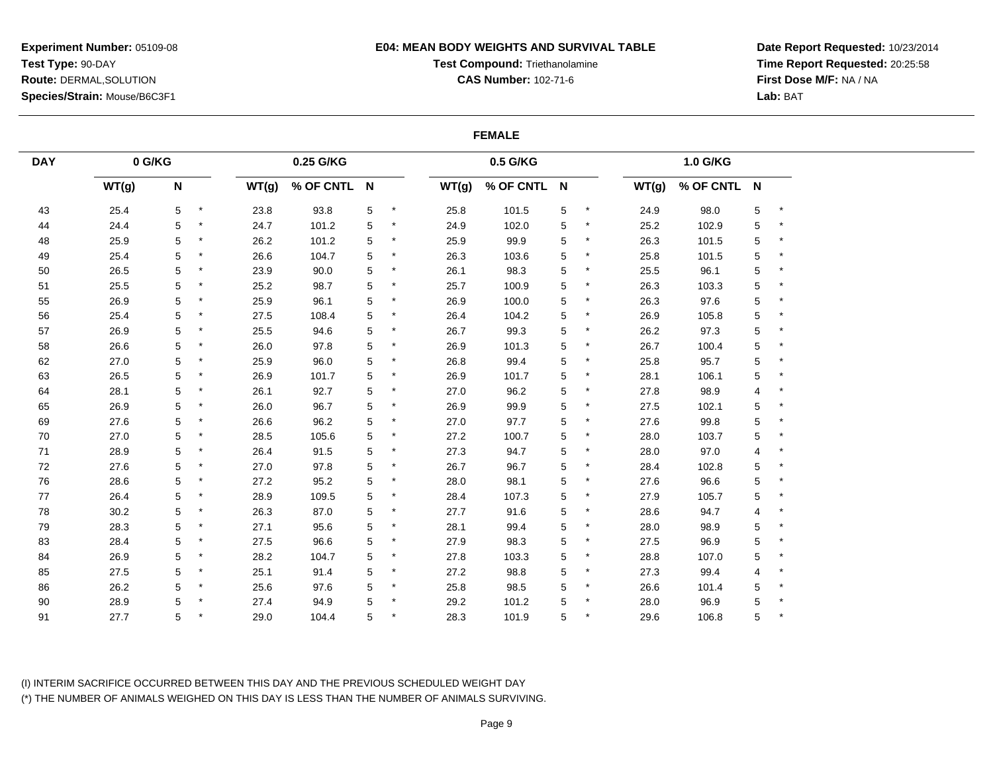## **E04: MEAN BODY WEIGHTS AND SURVIVAL TABLE**

**Test Compound:** Triethanolamine

**CAS Number:** 102-71-6

**Date Report Requested:** 10/23/2014**Time Report Requested:** 20:25:58**First Dose M/F:** NA / NA**Lab:** BAT

### **FEMALE**

| <b>DAY</b> | 0 G/KG |             |         |       | 0.25 G/KG   |            |         |       | 0.5 G/KG    |   |         |       | 1.0 G/KG    |             |         |
|------------|--------|-------------|---------|-------|-------------|------------|---------|-------|-------------|---|---------|-------|-------------|-------------|---------|
|            | WT(g)  | $\mathsf N$ |         | WT(g) | % OF CNTL N |            |         | WT(g) | % OF CNTL N |   |         | WT(g) | % OF CNTL N |             |         |
| 43         | 25.4   | 5           | $\star$ | 23.8  | 93.8        | $\sqrt{5}$ | $\star$ | 25.8  | 101.5       | 5 | $\star$ | 24.9  | 98.0        | 5           | $\star$ |
| 44         | 24.4   | 5           | $\star$ | 24.7  | 101.2       | 5          |         | 24.9  | 102.0       | 5 | $\star$ | 25.2  | 102.9       | 5           |         |
| 48         | 25.9   | 5           |         | 26.2  | 101.2       | 5          |         | 25.9  | 99.9        | 5 | $\ast$  | 26.3  | 101.5       | 5           |         |
| 49         | 25.4   | 5           | $^\ast$ | 26.6  | 104.7       | 5          |         | 26.3  | 103.6       | 5 | $\ast$  | 25.8  | 101.5       | 5           |         |
| 50         | 26.5   | 5           |         | 23.9  | 90.0        | 5          |         | 26.1  | 98.3        | 5 | $\ast$  | 25.5  | 96.1        | 5           |         |
| 51         | 25.5   | 5           | $\star$ | 25.2  | 98.7        | 5          |         | 25.7  | 100.9       | 5 | $\ast$  | 26.3  | 103.3       | 5           |         |
| 55         | 26.9   | 5           |         | 25.9  | 96.1        | 5          |         | 26.9  | 100.0       | 5 | $\ast$  | 26.3  | 97.6        | 5           |         |
| 56         | 25.4   | 5           |         | 27.5  | 108.4       | 5          |         | 26.4  | 104.2       | 5 | $\ast$  | 26.9  | 105.8       | $\mathbf 5$ |         |
| 57         | 26.9   | 5           | $\star$ | 25.5  | 94.6        | 5          |         | 26.7  | 99.3        | 5 | $\ast$  | 26.2  | 97.3        | $\mathbf 5$ |         |
| 58         | 26.6   | 5           |         | 26.0  | 97.8        | 5          |         | 26.9  | 101.3       | 5 | $\ast$  | 26.7  | 100.4       | 5           |         |
| 62         | 27.0   | 5           |         | 25.9  | 96.0        | 5          |         | 26.8  | 99.4        | 5 |         | 25.8  | 95.7        | 5           |         |
| 63         | 26.5   | 5           | $\star$ | 26.9  | 101.7       | 5          |         | 26.9  | 101.7       | 5 | $\ast$  | 28.1  | 106.1       | $\mathbf 5$ |         |
| 64         | 28.1   | 5           | $\star$ | 26.1  | 92.7        | 5          | $\star$ | 27.0  | 96.2        | 5 | $\star$ | 27.8  | 98.9        | 4           |         |
| 65         | 26.9   | 5           |         | 26.0  | 96.7        | 5          |         | 26.9  | 99.9        | 5 |         | 27.5  | 102.1       | 5           |         |
| 69         | 27.6   | 5           | $\star$ | 26.6  | 96.2        | 5          | $^\ast$ | 27.0  | 97.7        | 5 | *       | 27.6  | 99.8        | $\mathbf 5$ |         |
| 70         | 27.0   | 5           | $\star$ | 28.5  | 105.6       | 5          |         | 27.2  | 100.7       | 5 | $\ast$  | 28.0  | 103.7       | 5           |         |
| 71         | 28.9   | 5           |         | 26.4  | 91.5        | 5          |         | 27.3  | 94.7        | 5 |         | 28.0  | 97.0        | 4           |         |
| 72         | 27.6   | 5           |         | 27.0  | 97.8        | 5          |         | 26.7  | 96.7        | 5 | $\ast$  | 28.4  | 102.8       | 5           |         |
| 76         | 28.6   | 5           |         | 27.2  | 95.2        | 5          |         | 28.0  | 98.1        | 5 | $\star$ | 27.6  | 96.6        | $\mathbf 5$ |         |
| 77         | 26.4   | 5           |         | 28.9  | 109.5       | 5          |         | 28.4  | 107.3       | 5 |         | 27.9  | 105.7       | $\mathbf 5$ |         |
| 78         | 30.2   | 5           |         | 26.3  | 87.0        | 5          |         | 27.7  | 91.6        | 5 | $\ast$  | 28.6  | 94.7        | 4           |         |
| 79         | 28.3   | 5           |         | 27.1  | 95.6        | 5          |         | 28.1  | 99.4        | 5 | $\ast$  | 28.0  | 98.9        | 5           |         |
| 83         | 28.4   | 5           |         | 27.5  | 96.6        | 5          |         | 27.9  | 98.3        | 5 |         | 27.5  | 96.9        | 5           |         |
| 84         | 26.9   | 5           | $\star$ | 28.2  | 104.7       | 5          | $\star$ | 27.8  | 103.3       | 5 | $\star$ | 28.8  | 107.0       | 5           |         |
| 85         | 27.5   | 5           |         | 25.1  | 91.4        | 5          |         | 27.2  | 98.8        | 5 | $\ast$  | 27.3  | 99.4        | 4           |         |
| 86         | 26.2   | 5           |         | 25.6  | 97.6        | 5          |         | 25.8  | 98.5        | 5 | *       | 26.6  | 101.4       | 5           |         |
| $90\,$     | 28.9   | 5           |         | 27.4  | 94.9        | 5          |         | 29.2  | 101.2       | 5 | $\star$ | 28.0  | 96.9        | 5           |         |
| 91         | 27.7   | 5           |         | 29.0  | 104.4       | 5          |         | 28.3  | 101.9       | 5 | $\ast$  | 29.6  | 106.8       | 5           |         |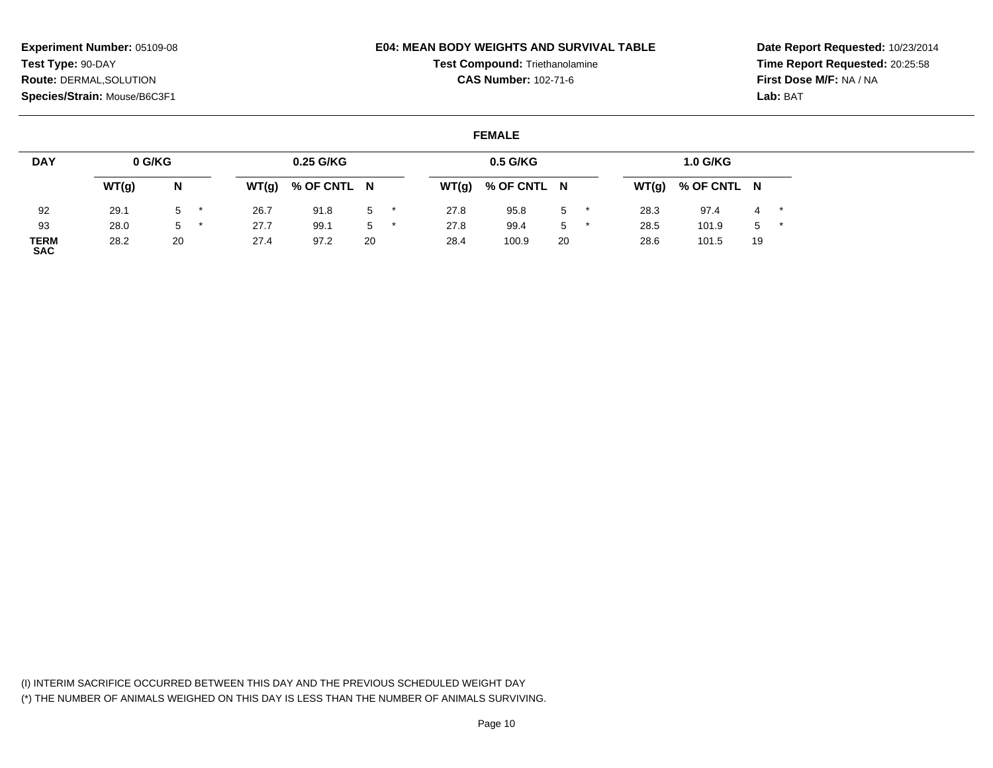## **E04: MEAN BODY WEIGHTS AND SURVIVAL TABLE**

**Test Compound:** Triethanolamine

**CAS Number:** 102-71-6

**Date Report Requested:** 10/23/2014**Time Report Requested:** 20:25:58**First Dose M/F:** NA / NA**Lab:** BAT

## **FEMALE**

| <b>DAY</b>                | 0 G/KG |    |   |       | 0.25 G/KG   |    |       | $0.5$ G/KG  |       |       | 1.0 G/KG    |       |       |
|---------------------------|--------|----|---|-------|-------------|----|-------|-------------|-------|-------|-------------|-------|-------|
|                           | WT(g)  | N  |   | WT(g) | % OF CNTL N |    | WT(g) | % OF CNTL N |       | WT(g) | % OF CNTL N |       |       |
| 92                        | 29.1   | 5  |   | 26.7  | 91.8        | 5  | 27.8  | 95.8        | $5$ * | 28.3  | 97.4        |       | $4 *$ |
| 93                        | 28.0   | 5  | * | 27.7  | 99.1        | 5  | 27.8  | 99.4        | $5$ * | 28.5  | 101.9       | $5$ * |       |
| <b>TERM</b><br><b>SAC</b> | 28.2   | 20 |   | 27.4  | 97.2        | 20 | 28.4  | 100.9       | 20    | 28.6  | 101.5       | 19    |       |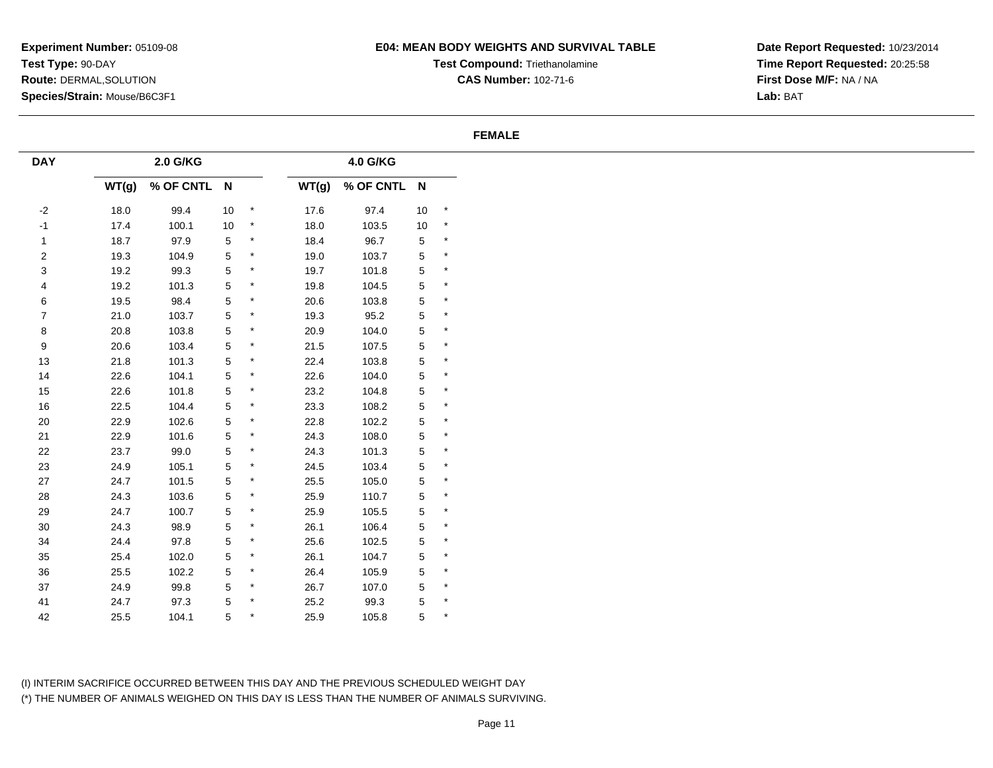# **E04: MEAN BODY WEIGHTS AND SURVIVAL TABLE**

**Test Compound:** Triethanolamine**CAS Number:** 102-71-6

**Date Report Requested:** 10/23/2014**Time Report Requested:** 20:25:58**First Dose M/F:** NA / NA**Lab:** BAT

### **FEMALE**

| WT(g) | 2.0 G/KG    |             |            |       | 4.0 G/KG    |             |         |
|-------|-------------|-------------|------------|-------|-------------|-------------|---------|
|       |             |             |            |       |             |             |         |
|       | % OF CNTL N |             |            | WT(g) | % OF CNTL N |             |         |
| 18.0  | 99.4        | $10\,$      | $\,$ $\,$  | 17.6  | 97.4        | $10$        | $\star$ |
| 17.4  | 100.1       | $10\,$      | $^{\star}$ | 18.0  | 103.5       | 10          | $\star$ |
| 18.7  | 97.9        | $\,$ 5 $\,$ | $\star$    | 18.4  | 96.7        | $\,$ 5 $\,$ | $\star$ |
| 19.3  | 104.9       | $\,$ 5 $\,$ | $\star$    | 19.0  | 103.7       | $\mathbf 5$ | $\star$ |
| 19.2  | 99.3        | $\,$ 5 $\,$ | $\star$    | 19.7  | 101.8       | $\,$ 5 $\,$ | $\star$ |
| 19.2  | 101.3       | 5           | $\star$    | 19.8  | 104.5       | 5           | $\star$ |
| 19.5  | 98.4        | $\,$ 5 $\,$ | $\star$    | 20.6  | 103.8       | $\,$ 5 $\,$ | $\star$ |
| 21.0  | 103.7       | $\,$ 5 $\,$ | $\star$    | 19.3  | 95.2        | $\,$ 5 $\,$ | $\star$ |
| 20.8  | 103.8       | 5           | $\star$    | 20.9  | 104.0       | $\,$ 5 $\,$ | $\star$ |
| 20.6  | 103.4       | $\,$ 5 $\,$ | $\star$    | 21.5  | 107.5       | 5           | $\star$ |
| 21.8  | 101.3       | 5           | $\star$    | 22.4  | 103.8       | 5           | $\star$ |
| 22.6  | 104.1       | 5           | $\star$    | 22.6  | 104.0       | $\,$ 5 $\,$ | $\star$ |
| 22.6  | 101.8       | $\,$ 5 $\,$ | $\star$    | 23.2  | 104.8       | $\mathbf 5$ | $\star$ |
| 22.5  | 104.4       | $\,$ 5 $\,$ | $\star$    | 23.3  | 108.2       | $\,$ 5 $\,$ | $\star$ |
| 22.9  | 102.6       | $\,$ 5 $\,$ | $^{\star}$ | 22.8  | 102.2       | $\,$ 5 $\,$ | $\star$ |
| 22.9  | 101.6       | 5           | $\star$    | 24.3  | 108.0       | 5           | $\star$ |
| 23.7  | 99.0        | $\,$ 5 $\,$ | $\star$    | 24.3  | 101.3       | 5           | $\star$ |
| 24.9  | 105.1       | 5           | $\star$    | 24.5  | 103.4       | $\,$ 5 $\,$ | $\star$ |
| 24.7  | 101.5       | $\,$ 5 $\,$ | $\star$    | 25.5  | 105.0       | $\mathbf 5$ | $\star$ |
| 24.3  | 103.6       | $\,$ 5 $\,$ | $\star$    | 25.9  | 110.7       | $\,$ 5 $\,$ | $\star$ |
| 24.7  | 100.7       | $\,$ 5 $\,$ | $\star$    | 25.9  | 105.5       | $\mathbf 5$ | $\star$ |
| 24.3  | 98.9        | 5           | $\star$    | 26.1  | 106.4       | $\,$ 5 $\,$ | $\star$ |
| 24.4  | 97.8        | 5           | $\star$    | 25.6  | 102.5       | 5           | $\star$ |
| 25.4  | 102.0       | $\,$ 5 $\,$ | $\star$    | 26.1  | 104.7       | $\,$ 5 $\,$ | $\star$ |
| 25.5  | 102.2       | 5           | $\star$    | 26.4  | 105.9       | $\,$ 5 $\,$ | $\star$ |
| 24.9  | 99.8        | $\,$ 5 $\,$ | $\star$    | 26.7  | 107.0       | $\sqrt{5}$  | $\star$ |
| 24.7  | 97.3        | 5           | $\star$    | 25.2  | 99.3        | 5           | $\star$ |
| 25.5  | 104.1       | 5           | $\star$    | 25.9  | 105.8       | 5           | $\star$ |
|       |             |             |            |       |             |             |         |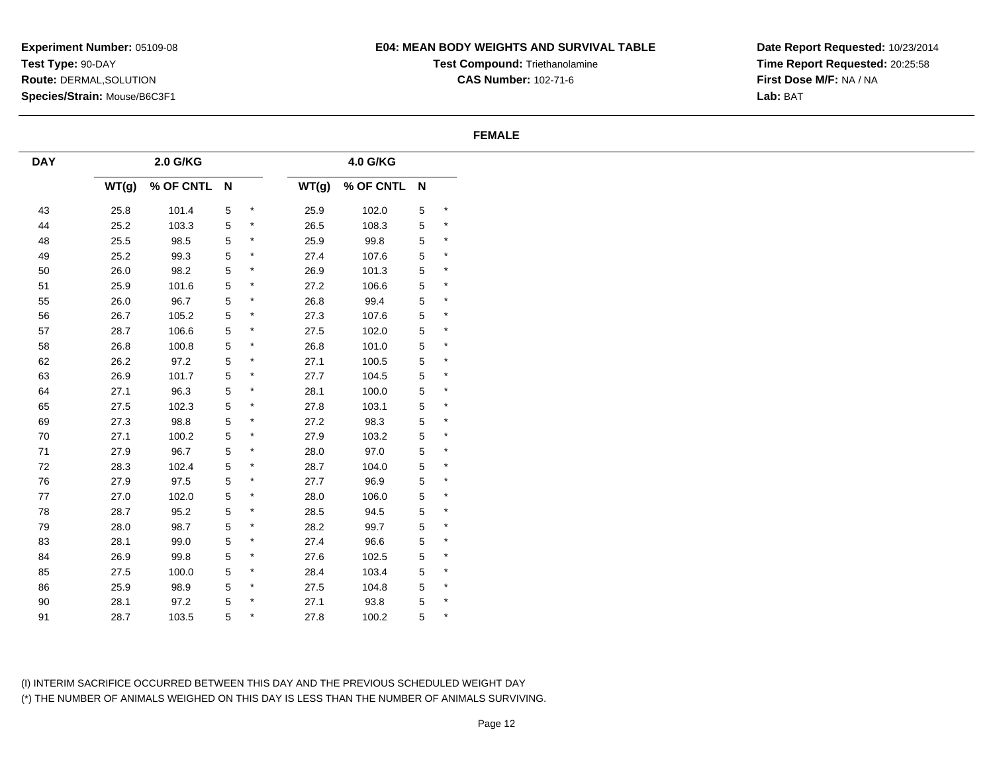# **E04: MEAN BODY WEIGHTS AND SURVIVAL TABLE**

**Test Compound:** Triethanolamine**CAS Number:** 102-71-6

**Date Report Requested:** 10/23/2014**Time Report Requested:** 20:25:58**First Dose M/F:** NA / NA**Lab:** BAT

### **FEMALE**

| <b>DAY</b> |       | 2.0 G/KG    |                |         |       | 4.0 G/KG    |   |          |
|------------|-------|-------------|----------------|---------|-------|-------------|---|----------|
|            | WT(g) | % OF CNTL N |                |         | WT(g) | % OF CNTL N |   |          |
| 43         | 25.8  | 101.4       | $\overline{5}$ | $\star$ | 25.9  | 102.0       | 5 | $\star$  |
| 44         | 25.2  | 103.3       | 5              | $\star$ | 26.5  | 108.3       | 5 | $\star$  |
| 48         | 25.5  | 98.5        | $\overline{5}$ | $\star$ | 25.9  | 99.8        | 5 | $\star$  |
| 49         | 25.2  | 99.3        | $\,$ 5 $\,$    | $\star$ | 27.4  | 107.6       | 5 | $\star$  |
| $50\,$     | 26.0  | 98.2        | 5              | $\star$ | 26.9  | 101.3       | 5 | $\star$  |
| 51         | 25.9  | 101.6       | 5              | $\star$ | 27.2  | 106.6       | 5 | $\star$  |
| 55         | 26.0  | 96.7        | $\mathbf 5$    | $\star$ | 26.8  | 99.4        | 5 | $\star$  |
| 56         | 26.7  | 105.2       | 5              | $\star$ | 27.3  | 107.6       | 5 | $^\star$ |
| 57         | 28.7  | 106.6       | $\sqrt{5}$     | $\star$ | 27.5  | 102.0       | 5 | $\star$  |
| 58         | 26.8  | 100.8       | $\mathbf 5$    | $\star$ | 26.8  | 101.0       | 5 | $\star$  |
| 62         | 26.2  | 97.2        | 5              | $\star$ | 27.1  | 100.5       | 5 | $\star$  |
| 63         | 26.9  | 101.7       | 5              | $\star$ | 27.7  | 104.5       | 5 | $^\star$ |
| 64         | 27.1  | 96.3        | $\,$ 5 $\,$    | $\star$ | 28.1  | 100.0       | 5 | $\star$  |
| 65         | 27.5  | 102.3       | $\,$ 5 $\,$    | $\star$ | 27.8  | 103.1       | 5 | $\star$  |
| 69         | 27.3  | 98.8        | $\mathbf 5$    | $\star$ | 27.2  | 98.3        | 5 | $\star$  |
| $70\,$     | 27.1  | 100.2       | 5              | $\star$ | 27.9  | 103.2       | 5 | $\star$  |
| $71\,$     | 27.9  | 96.7        | 5              | $\star$ | 28.0  | 97.0        | 5 | $^\star$ |
| $72\,$     | 28.3  | 102.4       | $\,$ 5 $\,$    | $\star$ | 28.7  | 104.0       | 5 | $\star$  |
| ${\bf 76}$ | 27.9  | 97.5        | 5              | $\star$ | 27.7  | 96.9        | 5 | $^\star$ |
| $77\,$     | 27.0  | 102.0       | 5              | $\star$ | 28.0  | 106.0       | 5 | $^\star$ |
| ${\bf 78}$ | 28.7  | 95.2        | $\,$ 5 $\,$    | $\star$ | 28.5  | 94.5        | 5 | $\star$  |
| 79         | 28.0  | 98.7        | 5              | $\star$ | 28.2  | 99.7        | 5 | $\star$  |
| 83         | 28.1  | 99.0        | 5              | $\star$ | 27.4  | 96.6        | 5 | $^\star$ |
| 84         | 26.9  | 99.8        | $\mathbf 5$    | $\star$ | 27.6  | 102.5       | 5 | $\star$  |
| 85         | 27.5  | 100.0       | 5              | $\star$ | 28.4  | 103.4       | 5 | $^\star$ |
| 86         | 25.9  | 98.9        | 5              | $\star$ | 27.5  | 104.8       | 5 | $\star$  |
| $90\,$     | 28.1  | 97.2        | $\mathbf 5$    | $\star$ | 27.1  | 93.8        | 5 | $^\star$ |
| 91         | 28.7  | 103.5       | 5              |         | 27.8  | 100.2       | 5 | $\star$  |